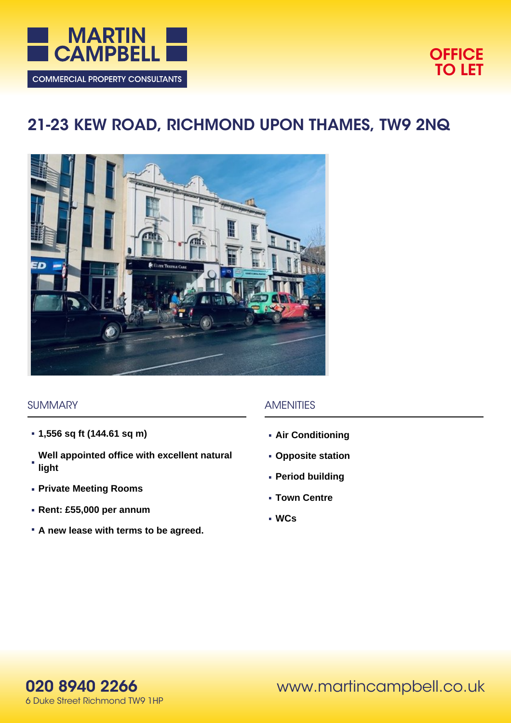



# **21-23 KEW ROAD, RICHMOND UPON THAMES, TW9 2NQ**



#### **SUMMARY**

- **1,556 sq ft (144.61 sq m)**
- **Well appointed office with excellent natural light**
- **Private Meeting Rooms**
- **Rent: £55,000 per annum**
- **A new lease with terms to be agreed.**

#### AMENITIES

- **Air Conditioning**
- **Opposite station**
- **Period building**
- **Town Centre**
- **WCs**

**020 8940 2266** 6 Duke Street Richmond TW9 1HP www.martincampbell.co.uk